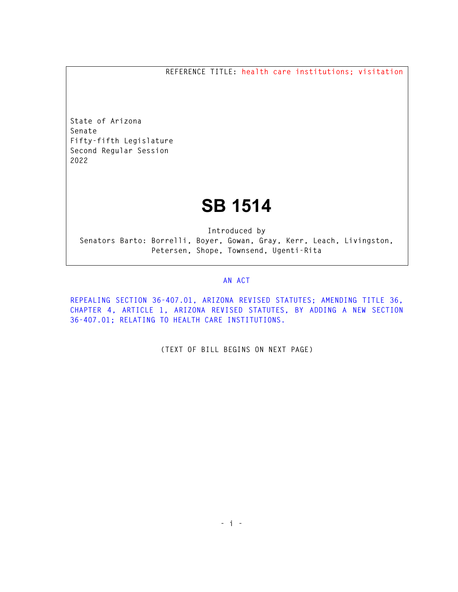**REFERENCE TITLE: health care institutions; visitation** 

**State of Arizona Senate Fifty-fifth Legislature Second Regular Session 2022** 

## **SB 1514**

**Introduced by Senators Barto: Borrelli, Boyer, Gowan, Gray, Kerr, Leach, Livingston, Petersen, Shope, Townsend, Ugenti-Rita** 

## **AN ACT**

**REPEALING SECTION 36-407.01, ARIZONA REVISED STATUTES; AMENDING TITLE 36, CHAPTER 4, ARTICLE 1, ARIZONA REVISED STATUTES, BY ADDING A NEW SECTION 36-407.01; RELATING TO HEALTH CARE INSTITUTIONS.** 

**(TEXT OF BILL BEGINS ON NEXT PAGE)**